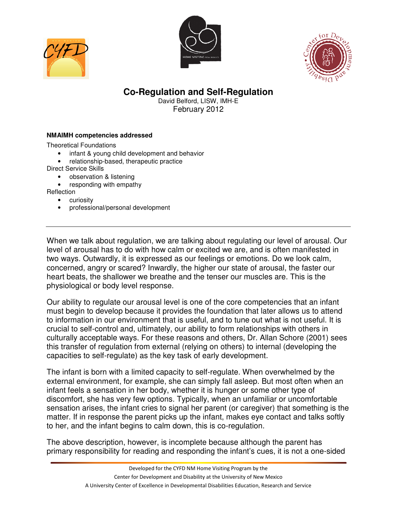





## **Co-Regulation and Self-Regulation**

David Belford, LISW, IMH-E February 2012

## **NMAIMH competencies addressed**

Theoretical Foundations

- infant & young child development and behavior
- relationship-based, therapeutic practice
- Direct Service Skills
	- observation & listening
	- responding with empathy

Reflection

- curiosity
- professional/personal development

When we talk about regulation, we are talking about regulating our level of arousal. Our level of arousal has to do with how calm or excited we are, and is often manifested in two ways. Outwardly, it is expressed as our feelings or emotions. Do we look calm, concerned, angry or scared? Inwardly, the higher our state of arousal, the faster our heart beats, the shallower we breathe and the tenser our muscles are. This is the physiological or body level response.

Our ability to regulate our arousal level is one of the core competencies that an infant must begin to develop because it provides the foundation that later allows us to attend to information in our environment that is useful, and to tune out what is not useful. It is crucial to self-control and, ultimately, our ability to form relationships with others in culturally acceptable ways. For these reasons and others, Dr. Allan Schore (2001) sees this transfer of regulation from external (relying on others) to internal (developing the capacities to self-regulate) as the key task of early development.

The infant is born with a limited capacity to self-regulate. When overwhelmed by the external environment, for example, she can simply fall asleep. But most often when an infant feels a sensation in her body, whether it is hunger or some other type of discomfort, she has very few options. Typically, when an unfamiliar or uncomfortable sensation arises, the infant cries to signal her parent (or caregiver) that something is the matter. If in response the parent picks up the infant, makes eye contact and talks softly to her, and the infant begins to calm down, this is co-regulation.

The above description, however, is incomplete because although the parent has primary responsibility for reading and responding the infant's cues, it is not a one-sided